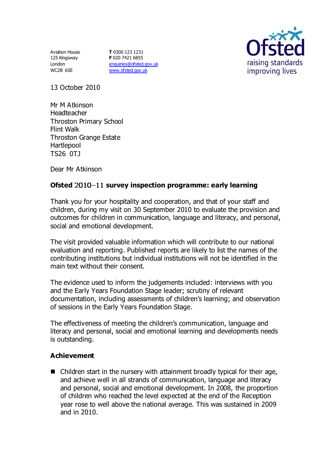Aviation House 125 Kingsway London WC2B 6SE

**T** 0300 123 1231 **F** 020 7421 6855 [enquiries@ofsted.gov.uk](mailto:enquiries@ofsted.gov.uk) [www.ofsted.gov.uk](http://www.ofsted.gov.uk/)



13 October 2010

Mr M Atkinson Headteacher Throston Primary School Flint Walk Throston Grange Estate **Hartlepool** TS26 0TJ

Dear Mr Atkinson

# **Ofsted** 2010-11 survey inspection programme: early learning

Thank you for your hospitality and cooperation, and that of your staff and children, during my visit on 30 September 2010 to evaluate the provision and outcomes for children in communication, language and literacy, and personal, social and emotional development.

The visit provided valuable information which will contribute to our national evaluation and reporting. Published reports are likely to list the names of the contributing institutions but individual institutions will not be identified in the main text without their consent.

The evidence used to inform the judgements included: interviews with you and the Early Years Foundation Stage leader; scrutiny of relevant documentation, including assessments of children's learning; and observation of sessions in the Early Years Foundation Stage.

The effectiveness of meeting the children's communication, language and literacy and personal, social and emotional learning and developments needs is outstanding.

## **Achievement**

■ Children start in the nursery with attainment broadly typical for their age, and achieve well in all strands of communication, language and literacy and personal, social and emotional development. In 2008, the proportion of children who reached the level expected at the end of the Reception year rose to well above the national average. This was sustained in 2009 and in 2010.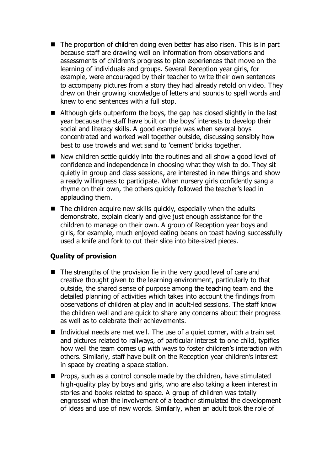- The proportion of children doing even better has also risen. This is in part because staff are drawing well on information from observations and assessments of children's progress to plan experiences that move on the learning of individuals and groups. Several Reception year girls, for example, were encouraged by their teacher to write their own sentences to accompany pictures from a story they had already retold on video. They drew on their growing knowledge of letters and sounds to spell words and knew to end sentences with a full stop.
- Although girls outperform the boys, the gap has closed slightly in the last year because the staff have built on the boys' interests to develop their social and literacy skills. A good example was when several boys concentrated and worked well together outside, discussing sensibly how best to use trowels and wet sand to 'cement' bricks together.
- New children settle quickly into the routines and all show a good level of confidence and independence in choosing what they wish to do. They sit quietly in group and class sessions, are interested in new things and show a ready willingness to participate. When nursery girls confidently sang a rhyme on their own, the others quickly followed the teacher's lead in applauding them.
- $\blacksquare$  The children acquire new skills quickly, especially when the adults demonstrate, explain clearly and give just enough assistance for the children to manage on their own. A group of Reception year boys and girls, for example, much enjoyed eating beans on toast having successfully used a knife and fork to cut their slice into bite-sized pieces.

# **Quality of provision**

- $\blacksquare$  The strengths of the provision lie in the very good level of care and creative thought given to the learning environment, particularly to that outside, the shared sense of purpose among the teaching team and the detailed planning of activities which takes into account the findings from observations of children at play and in adult-led sessions. The staff know the children well and are quick to share any concerns about their progress as well as to celebrate their achievements.
- Individual needs are met well. The use of a quiet corner, with a train set and pictures related to railways, of particular interest to one child, typifies how well the team comes up with ways to foster children's interaction with others. Similarly, staff have built on the Reception year children's interest in space by creating a space station.
- $\blacksquare$  Props, such as a control console made by the children, have stimulated high-quality play by boys and girls, who are also taking a keen interest in stories and books related to space. A group of children was totally engrossed when the involvement of a teacher stimulated the development of ideas and use of new words. Similarly, when an adult took the role of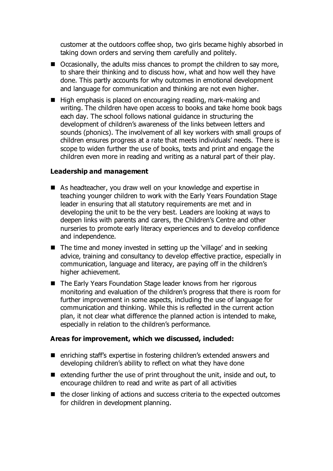customer at the outdoors coffee shop, two girls became highly absorbed in taking down orders and serving them carefully and politely.

- Occasionally, the adults miss chances to prompt the children to say more, to share their thinking and to discuss how, what and how well they have done. This partly accounts for why outcomes in emotional development and language for communication and thinking are not even higher.
- $\blacksquare$  High emphasis is placed on encouraging reading, mark-making and writing. The children have open access to books and take home book bags each day. The school follows national guidance in structuring the development of children's awareness of the links between letters and sounds (phonics). The involvement of all key workers with small groups of children ensures progress at a rate that meets individuals' needs. There is scope to widen further the use of books, texts and print and engage the children even more in reading and writing as a natural part of their play.

### **Leadership and management**

- As headteacher, you draw well on your knowledge and expertise in teaching younger children to work with the Early Years Foundation Stage leader in ensuring that all statutory requirements are met and in developing the unit to be the very best. Leaders are looking at ways to deepen links with parents and carers, the Children's Centre and other nurseries to promote early literacy experiences and to develop confidence and independence.
- $\blacksquare$  The time and money invested in setting up the 'village' and in seeking advice, training and consultancy to develop effective practice, especially in communication, language and literacy, are paying off in the children's higher achievement.
- The Early Years Foundation Stage leader knows from her rigorous monitoring and evaluation of the children's progress that there is room for further improvement in some aspects, including the use of language for communication and thinking. While this is reflected in the current action plan, it not clear what difference the planned action is intended to make, especially in relation to the children's performance.

### **Areas for improvement, which we discussed, included:**

- enriching staff's expertise in fostering children's extended answers and developing children's ability to reflect on what they have done
- $\blacksquare$  extending further the use of print throughout the unit, inside and out, to encourage children to read and write as part of all activities
- $\blacksquare$  the closer linking of actions and success criteria to the expected outcomes for children in development planning.